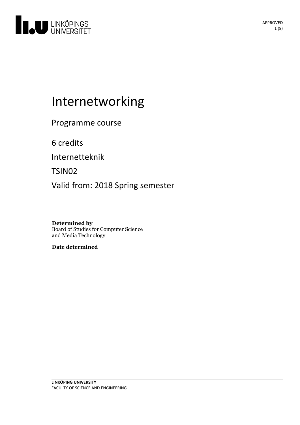

# Internetworking

Programme course

6 credits

Internetteknik

TSIN02

Valid from: 2018 Spring semester

**Determined by** Board of Studies for Computer Science and Media Technology

**Date determined**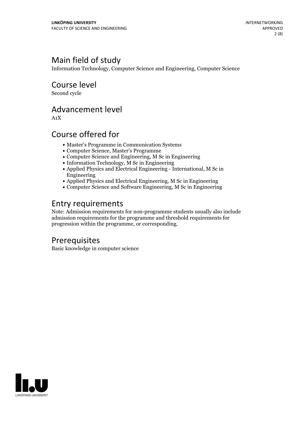### Main field of study

Information Technology, Computer Science and Engineering, Computer Science

Course level

Second cycle

### Advancement level

A1X

### Course offered for

- Master's Programme in Communication Systems
- Computer Science, Master's Programme
- Computer Science and Engineering, M Sc in Engineering
- $\bullet$  Information Technology,  $\tilde{M}$  Sc in Engineering
- Applied Physics and Electrical Engineering International, M Sc in Engineering
- Applied Physics and Electrical Engineering, M Sc in Engineering
- Computer Science and Software Engineering, M Sc in Engineering

### Entry requirements

Note: Admission requirements for non-programme students usually also include admission requirements for the programme and threshold requirements for progression within the programme, or corresponding.

### Prerequisites

Basic knowledge in computer science

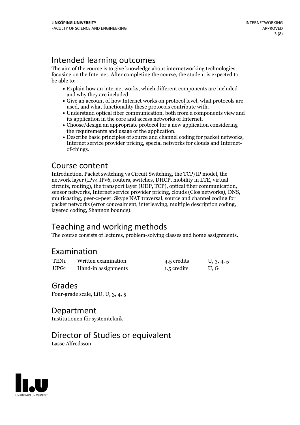Intended learning outcomes<br>The aim of the course is to give knowledge about internetworking technologies, focusing on the Internet. After completing the course, the student is expected to be able to:

- Explain how an internet works, which different components are included
- and why they are included.<br>• Give an account of how Internet works on protocol level, what protocols are
- used, and what functionality these protocols contribute with.<br>• Understand optical fiber communication, both from a components view and
- its application in the core and access networks of Internet.<br>• Choose/design an appropriate protocol for a new application considering<br>the requirements and usage of the application.
- Describe basic principles of source and channel coding for packet networks, Internet service provider pricing, special networks for clouds and Internet- of-things.

### Course content

Introduction, Packet switching vs Circuit Switching, the TCP/IP model, the network layer (IPv4 IPv6, routers, switches, DHCP, mobility in LTE, virtual circuits, routing), the transport layer (UDP, TCP), optical fiber communication, sensor networks, Internet service provider pricing, clouds (Clos networks), DNS, multicasting, peer-2-peer, Skype NAT traversal, source and c packet networks (error concealment, interleaving, multiple description coding, layered coding, Shannon bounds).

## Teaching and working methods

The course consists of lectures, problem-solving classes and home assignments.

### Examination

| TEN <sub>1</sub> | Written examination. | 4.5 credits | U, 3, 4, 5 |
|------------------|----------------------|-------------|------------|
| UPG <sub>1</sub> | Hand-in assignments  | 1.5 credits | U.G        |

### Grades

Four-grade scale, LiU, U, 3, 4, 5

### Department

Institutionen för systemteknik

### Director of Studies or equivalent

Lasse Alfredsson

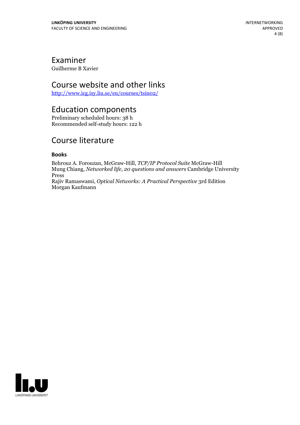### Examiner

Guilherme B Xavier

### Course website and other links

<http://www.icg.isy.liu.se/en/courses/tsin02/>

### Education components

Preliminary scheduled hours: 38 h Recommended self-study hours: 122 h

### Course literature

#### **Books**

Behrouz A. Forouzan, McGraw-Hill, *TCP/IP Protocol Suite* McGraw-Hill Mung Chiang, *Networked life, 20 questions and answers* Cambridge University Press Rajiv Ramaswami, *Optical Networks: A Practical Perspective* 3rd Edition Morgan Kaufmann

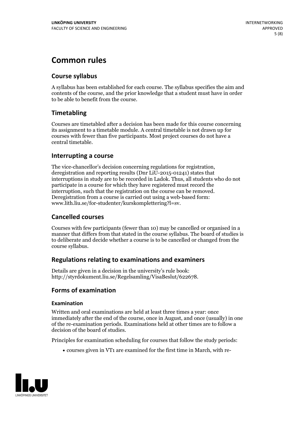### **Common rules**

#### **Course syllabus**

A syllabus has been established for each course. The syllabus specifies the aim and contents of the course, and the prior knowledge that a student must have in order to be able to benefit from the course.

#### **Timetabling**

Courses are timetabled after a decision has been made for this course concerning its assignment to a timetable module. A central timetable is not drawn up for courses with fewer than five participants. Most project courses do not have a central timetable.

#### **Interrupting a course**

The vice-chancellor's decision concerning regulations for registration, deregistration and reporting results (Dnr LiU-2015-01241) states that interruptions in study are to be recorded in Ladok. Thus, all students who do not participate in a course for which they have registered must record the interruption, such that the registration on the course can be removed. Deregistration from <sup>a</sup> course is carried outusing <sup>a</sup> web-based form: www.lith.liu.se/for-studenter/kurskomplettering?l=sv.

#### **Cancelled courses**

Courses with few participants (fewer than 10) may be cancelled or organised in a manner that differs from that stated in the course syllabus. The board of studies is to deliberate and decide whether a course is to be cancelled orchanged from the course syllabus.

#### **Regulations relatingto examinations and examiners**

Details are given in a decision in the university's rule book: http://styrdokument.liu.se/Regelsamling/VisaBeslut/622678.

#### **Forms of examination**

#### **Examination**

Written and oral examinations are held at least three times a year: once immediately after the end of the course, once in August, and once (usually) in one of the re-examination periods. Examinations held at other times are to follow a decision of the board of studies.

Principles for examination scheduling for courses that follow the study periods:

courses given in VT1 are examined for the first time in March, with re-

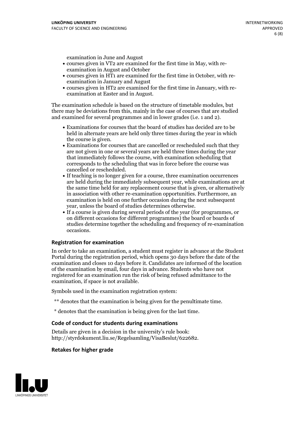examination in June and August

- courses given in VT2 are examined for the first time in May, with re-examination in August and October
- courses given in HT1 are examined for the first time in October, with re-examination in January and August
- courses given in HT2 are examined for the first time in January, with re-examination at Easter and in August.

The examination schedule is based on the structure of timetable modules, but there may be deviations from this, mainly in the case of courses that are studied and examined for several programmes and in lower grades (i.e. 1 and 2).

- Examinations for courses that the board of studies has decided are to be held in alternate years are held only three times during the year in which
- the course is given.<br>• Examinations for courses that are cancelled or rescheduled such that they are not given in one or several years are held three times during the year that immediately follows the course, with examination scheduling that corresponds to the scheduling that was in force before the course was cancelled or rescheduled.<br>• If teaching is no longer given for a course, three examination occurrences
- are held during the immediately subsequent year, while examinations are at the same time held for any replacement course that is given, or alternatively in association with other re-examination opportunities. Furthermore, an examination is held on one further occasion during the next subsequent year, unless the board of studies determines otherwise.<br>• If a course is given during several periods of the year (for programmes, or
- on different occasions for different programmes) the board orboards of studies determine together the scheduling and frequency of re-examination occasions.

#### **Registration for examination**

In order to take an examination, a student must register in advance at the Student Portal during the registration period, which opens 30 days before the date of the examination and closes 10 days before it. Candidates are informed of the location of the examination by email, four days in advance. Students who have not registered for an examination run the risk of being refused admittance to the examination, if space is not available.

Symbols used in the examination registration system:

- \*\* denotes that the examination is being given for the penultimate time.
- \* denotes that the examination is being given for the last time.

#### **Code of conduct for students during examinations**

Details are given in a decision in the university's rule book: http://styrdokument.liu.se/Regelsamling/VisaBeslut/622682.

#### **Retakes for higher grade**

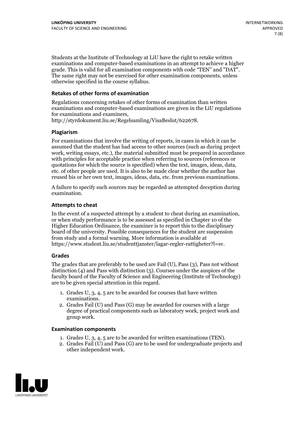Students at the Institute of Technology at LiU have the right to retake written examinations and computer-based examinations in an attempt to achieve a higher grade. This is valid for all examination components with code "TEN" and "DAT". The same right may not be exercised for other examination components, unless otherwise specified in the course syllabus.

#### **Retakes of other forms of examination**

Regulations concerning retakes of other forms of examination than written examinations and computer-based examinations are given in the LiU regulations for examinations and examiners, http://styrdokument.liu.se/Regelsamling/VisaBeslut/622678.

#### **Plagiarism**

For examinations that involve the writing of reports, in cases in which it can be assumed that the student has had access to other sources (such as during project work, writing essays, etc.), the material submitted must be prepared in accordance with principles for acceptable practice when referring to sources (references or quotations for which the source is specified) when the text, images, ideas, data, etc. of other people are used. It is also to be made clear whether the author has reused his or her own text, images, ideas, data, etc. from previous examinations.

A failure to specify such sources may be regarded as attempted deception during examination.

#### **Attempts to cheat**

In the event of <sup>a</sup> suspected attempt by <sup>a</sup> student to cheat during an examination, or when study performance is to be assessed as specified in Chapter <sup>10</sup> of the Higher Education Ordinance, the examiner is to report this to the disciplinary board of the university. Possible consequences for the student are suspension from study and a formal warning. More information is available at https://www.student.liu.se/studenttjanster/lagar-regler-rattigheter?l=sv.

#### **Grades**

The grades that are preferably to be used are Fail (U), Pass (3), Pass not without distinction  $(4)$  and Pass with distinction  $(5)$ . Courses under the auspices of the faculty board of the Faculty of Science and Engineering (Institute of Technology) are to be given special attention in this regard.

- 1. Grades U, 3, 4, 5 are to be awarded for courses that have written
- examinations. 2. Grades Fail (U) and Pass (G) may be awarded for courses with <sup>a</sup> large degree of practical components such as laboratory work, project work and group work.

#### **Examination components**

- 
- 1. Grades U, 3, 4, <sup>5</sup> are to be awarded for written examinations (TEN). 2. Grades Fail (U) and Pass (G) are to be used for undergraduate projects and other independent work.